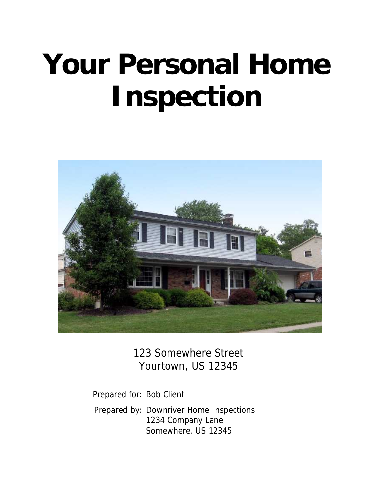# **Your Personal Home Inspection**



123 Somewhere Street Yourtown, US 12345

Prepared for: Bob Client Prepared by: Downriver Home Inspections 1234 Company Lane Somewhere, US 12345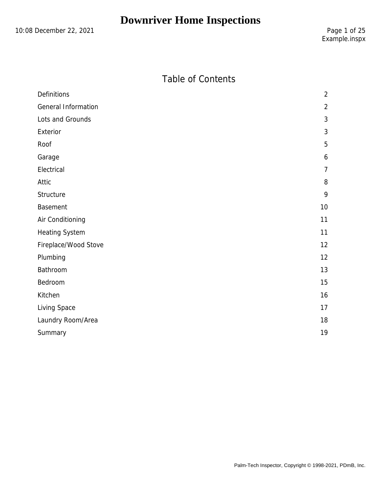10:08 December 22, 2021 2001 2002 12:08 Page 1 of 25

## Table of Contents

| $\overline{2}$ |
|----------------|
| $\overline{2}$ |
| 3              |
| 3              |
| 5              |
| 6              |
| $\overline{7}$ |
| 8              |
| 9              |
| 10             |
| 11             |
| 11             |
| 12             |
| 12             |
| 13             |
| 15             |
| 16             |
| 17             |
| 18             |
| 19             |
|                |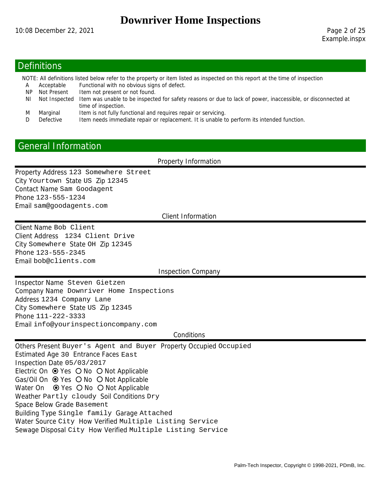#### **Definitions**

NOTE: All definitions listed below refer to the property or item listed as inspected on this report at the time of inspection

- A Acceptable Functional with no obvious signs of defect.
- NP Not Present Item not present or not found.
- NI Not Inspected Item was unable to be inspected for safety reasons or due to lack of power, inaccessible, or disconnected at time of inspection.
- M Marginal Item is not fully functional and requires repair or servicing.
- D Defective Item needs immediate repair or replacement. It is unable to perform its intended function.

## General Information

Property Information

Property Address 123 Somewhere Street City Yourtown State US Zip 12345 Contact Name Sam Goodagent Phone 123-555-1234 Email sam@goodagents.com

Client Information

Client Name Bob Client Client Address 1234 Client Drive City Somewhere State OH Zip 12345 Phone 123-555-2345 Email bob@clients.com

#### Inspection Company

Inspector Name Steven Gietzen Company Name Downriver Home Inspections Address 1234 Company Lane City Somewhere State US Zip 12345 Phone 111-222-3333 Email info@yourinspectioncompany.com

#### **Conditions**

Others Present Buyer's Agent and Buyer Property Occupied Occupied Estimated Age 30 Entrance Faces East Inspection Date 05/03/2017 Electric On  $\odot$  Yes  $\odot$  No  $\odot$  Not Applicable Gas/Oil On  $\odot$  Yes O No O Not Applicable Water On  $\odot$  Yes  $\odot$  No  $\odot$  Not Applicable Weather Partly cloudy Soil Conditions Dry Space Below Grade Basement Building Type Single family Garage Attached Water Source City How Verified Multiple Listing Service Sewage Disposal City How Verified Multiple Listing Service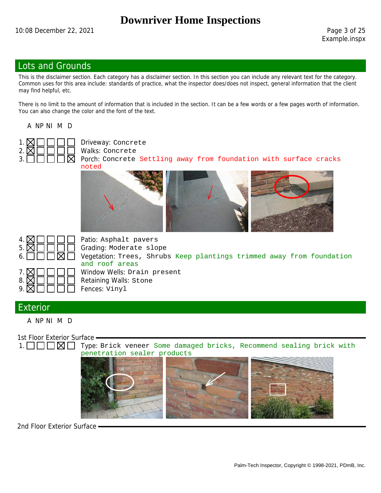Example.inspx

#### Lots and Grounds

This is the disclaimer section. Each category has a disclaimer section. In this section you can include any relevant text for the category. Common uses for this area include: standards of practice, what the inspector does/does not inspect, general information that the client may find helpful, etc.

There is no limit to the amount of information that is included in the section. It can be a few words or a few pages worth of information. You can also change the color and the font of the text.

A NP NI M D



 $3. \Box \Box \Box \Box \boxtimes$  Porch: Concrete Settling away from foundation with surface cracks noted







Patio: Asphalt pavers  $5. \boxtimes \square \square \square$  Grading: Moderate slope Vegetation: Trees, Shrubs Keep plantings trimmed away from foundation and roof areas Window Wells: Drain present Retaining Walls: Stone  $9. \boxtimes \square \square \square \square$  Fences: Vinyl

#### Exterior

A NP NI M D

1st Floor Exterior Surface -

1.  $\Box$   $\Box$   $\Box$   $\Box$  Type: Brick veneer Some damaged bricks, Recommend sealing brick with penetration sealer products



2nd Floor Exterior Surface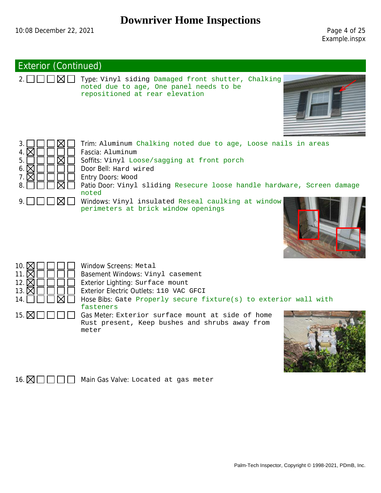Example.inspx

#### Exterior (Continued)

 $2. \Box \Box \Box \boxtimes \Box$  Type: Vinyl siding Damaged front shutter, Chalking noted due to age, One panel needs to be repositioned at rear elevation













16.  $\boxtimes \square \square \square$  Main Gas Valve: Located at gas meter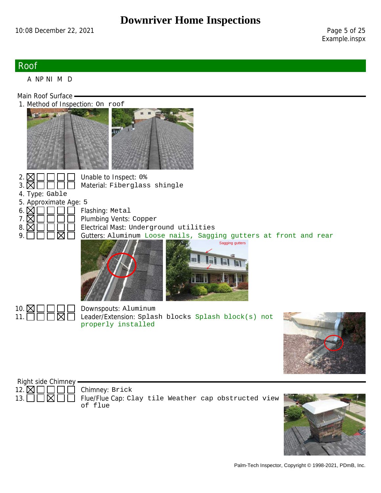#### Roof

A NP NI M D

Main Roof Surface -

1. Method of Inspection: On roof





2.  $\boxtimes$   $\Box$   $\Box$  Unable to Inspect: 0%<br>3.  $\boxtimes$   $\Box$   $\Box$  Material: Fiberglas. Material: Fiberglass shingle

4. Type: Gable

5. Approximate Age: 5

6.  $\boxtimes \square \square \square$  Flashing: Metal

 $7. \boxtimes \square \square \square$  Plumbing Vents: Copper  $8. \boxtimes \square \square \square$  Electrical Mast: Underground utilities  $9. \Box$   $\Box$   $\Box$   $\Box$  Gutters: Aluminum Loose nails, Sagging gutters at front and rear







10.  $\boxtimes \square \square \square$  Downspouts: Aluminum<br>11.  $\square \square \boxtimes \square$  Leader/Extension: Splas Leader/Extension: Splash blocks Splash block(s) not properly installed





13.  $\Box$   $\Box$   $\Box$  Flue/Flue Cap: Clay tile Weather cap obstructed view of flue

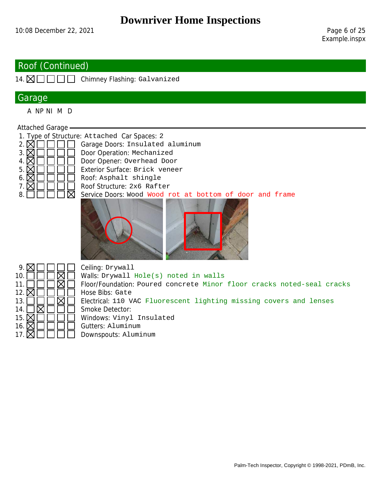## Roof (Continued)

14.  $\boxtimes \square \square \square$  Chimney Flashing: Galvanized

#### Garage

A NP NI M D

#### Attached Garage

1. Type of Structure: Attached Car Spaces: 2

2.  $\boxtimes$   $\Box$   $\Box$   $\Box$  Garage Doors: Insulated aluminum 3.  $\boxtimes$   $\Box$   $\Box$   $\Box$  Door Operation: Mechanized  $3. \boxtimes \square \square \square \square$  Door Operation: Mechanized 4.  $\boxtimes \square \square \square \square$  Door Opener: Overhead Doo: 4.  $\boxtimes$   $\Box$   $\Box$  Door Opener: Overhead Door<br>5.  $\boxtimes$   $\Box$   $\Box$  Exterior Surface: Brick venee 5.  $\boxtimes$   $\Box$   $\Box$  Exterior Surface: Brick veneer<br>6.  $\boxtimes$   $\Box$   $\Box$  Roof: Asphalt shingle 6. Roof: Asphalt shingle  $7. \boxtimes \square \square \square$  Roof Structure: 2x6 Rafter  $8. \Box$   $\Box$   $\Box$   $\Box$  Service Doors: Wood Wood rot at bottom of door and frame



| 9. $\triangleright$ | Ceiling: Drywall                                                       |
|---------------------|------------------------------------------------------------------------|
| 10.                 | Walls: Drywall Hole(s) noted in walls                                  |
| 11.                 | Floor/Foundation: Poured concrete Minor floor cracks noted-seal cracks |
| 12. $\nabla$        | Hose Bibs: Gate                                                        |
| 13.                 | Electrical: 110 VAC Fluorescent lighting missing covers and lenses     |
| 14.                 | Smoke Detector:                                                        |
| 15. $\nabla$        | Windows: Vinyl Insulated                                               |
| 16. $\nabla$        | Gutters: Aluminum                                                      |
| 17. $\nabla$        | Downspouts: Aluminum                                                   |
|                     |                                                                        |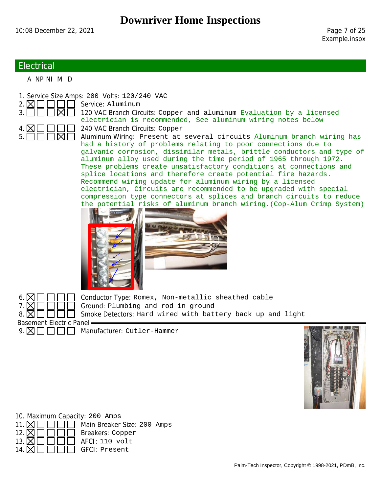#### **Electrical**

A NP NI M D

1. Service Size Amps: 200 Volts: 120/240 VAC

 $2. \times 1$  || || || || Service: Aluminum



3.  $\Box$   $\Box$   $\Box$   $\Box$  120 VAC Branch Circuits: Copper and aluminum Evaluation by a licensed electrician is recommended, See aluminum wiring notes below 240 VAC Branch Circuits: Copper

> Aluminum Wiring: Present at several circuits Aluminum branch wiring has had a history of problems relating to poor connections due to galvanic corrosion, dissimilar metals, brittle conductors and type of aluminum alloy used during the time period of 1965 through 1972. These problems create unsatisfactory conditions at connections and splice locations and therefore create potential fire hazards. Recommend wiring update for aluminum wiring by a licensed electrician, Circuits are recommended to be upgraded with special compression type connectors at splices and branch circuits to reduce the potential risks of aluminum branch wiring.(Cop-Alum Crimp System)





 $6. \boxtimes \square \square \square$  Conductor Type: Romex, Non-metallic sheathed cable  $7. \boxtimes \square \square \square$  Ground: Plumbing and rod in ground  $8. \times 1$  || || || Smoke Detectors: Hard wired with battery back up and light

 $9. \boxtimes \square \square \square \square$  Manufacturer: Cutler-Hammer



10. Maximum Capacity: 200 Amps 11.  $\boxtimes \square \square \square$  Main Breaker Size: 200 Amps 12.  $\boxtimes \square \square \square \square$  Breakers: Copper 13.  $\boxtimes \square \square \square \square$  AFCI: 110 volt 14.  $\boxtimes \square \square \square \square$  GFCI: Present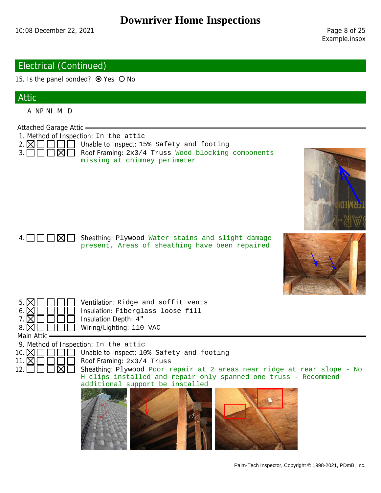Example.inspx

#### Electrical (Continued)

15. Is the panel bonded?  $\odot$  Yes  $\odot$  No

## Attic

A NP NI M D

Attached Garage Attic

- 1. Method of Inspection: In the attic
- $2. \boxtimes \square \square \square$  Unable to Inspect: 15% Safety and footing
- 3.  $\boxed{\phantom{1}1\phantom{1}}$  Roof Framing: 2x3/4 Truss Wood blocking components missing at chimney perimeter
- $4. \Box \Box \Box \boxtimes \Box$  Sheathing: Plywood Water stains and slight damage present, Areas of sheathing have been repaired





- $5. \boxtimes \square \square \square$  Ventilation: Ridge and soffit vents 6.  $\boxtimes$   $\Box$   $\Box$  Insulation: Fiberglass loose fill 7.  $\boxtimes$   $\Box$   $\Box$  Insulation Depth: 4" 7. Insulation Depth: 4"
- 8. **△** □ □ □ □ Wiring/Lighting: 110 VAC

Main Attic



10.  $\mathbb{Z} \cap \mathbb{Z} \cap \mathbb{Z}$  Unable to Inspect: 10% Safety and footing

12.  $\Box$   $\Box$   $\Box$  Sheathing: Plywood Poor repair at 2 areas near ridge at rear slope - No H clips installed and repair only spanned one truss - Recommend additional support be installed

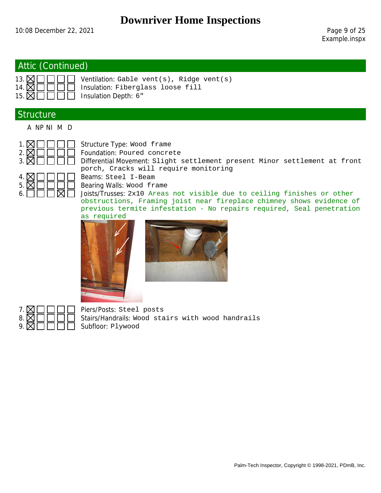## Attic (Continued)

| $13.$ $\boxtimes$ $\Box$ $\Box$ $\Box$ $\Box$ $\Box$ |  |
|------------------------------------------------------|--|
| 14. $\times$ $\Box$ $\Box$ $\Box$                    |  |
| 15. $\tt M\n$                                        |  |

13. Ventilation: Gable vent(s), Ridge vent(s) Insulation: Fiberglass loose fill Insulation Depth: 6"

## **Structure**

A NP NI M D



 $1. \boxtimes \square \square \square$  Structure Type: Wood frame  $2. \boxtimes \square \square \square$  Foundation: Poured concrete  $3. \boxtimes \square \square \square$  Differential Movement: Slight settlement present Minor settlement at front porch, Cracks will require monitoring



 $5. \boxtimes \square \square \square$  Bearing Walls: Wood frame

6.  $\Box$   $\Box$   $\Box$   $\Box$  Joists/Trusses: 2x10 Areas not visible due to ceiling finishes or other obstructions, Framing joist near fireplace chimney shows evidence of previous termite infestation - No repairs required, Seal penetration as required







 $7. \boxtimes \square \square \square \square$  Piers/Posts: Steel posts Stairs/Handrails: Wood stairs with wood handrails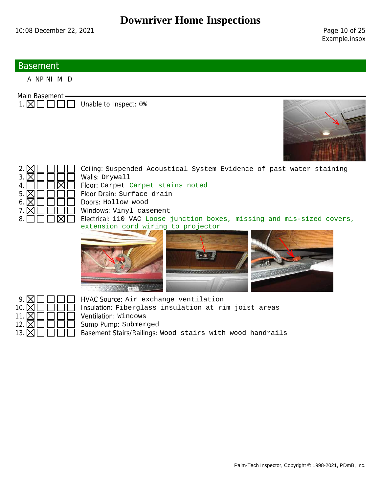#### **Basement**

A NP NI M D

Main Basement -

 $1. \boxtimes \square \square \square$  Unable to Inspect: 0%





 $2. \times \square \square \square$  Ceiling: Suspended Acoustical System Evidence of past water staining  $4. \Box \Box \Box \boxtimes \Box$  Floor: Carpet Carpet stains noted  $5. \boxtimes \square \square \square$  Floor Drain: Surface drain  $6. \boxtimes \square \square \square$  Doors: Hollow wood  $7. \boxtimes \square \square \square$  Windows: Vinyl casement  $8. \Box$   $\Box$   $\Box$  Electrical: 110 VAC Loose junction boxes, missing and mis-sized covers, extension cord wiring to projector





 $9. \boxtimes \square \square \square$  HVAC Source: Air exchange ventilation 10.  $\boxtimes \square \square \square$  Insulation: Fiberglass insulation at rim joist areas Sump Pump: Submerged 13.  $\boxtimes \square \square \square$  Basement Stairs/Railings: Wood stairs with wood handrails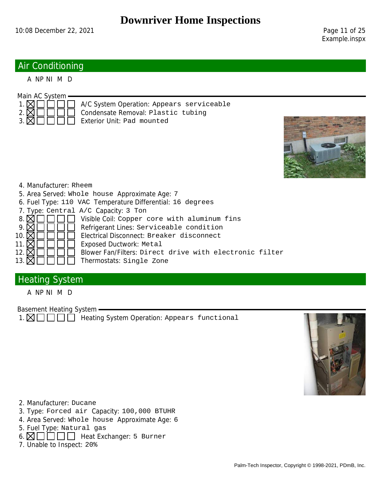## Air Conditioning

A NP NI M D



- $1. \boxtimes \square \square \square$  A/C System Operation: Appears serviceable
	-
	-
- $2. \boxtimes \square \square \square$  Condensate Removal: Plastic tubing
- $3. \boxtimes \square \square \square \square$  Exterior Unit: Pad mounted



#### 4. Manufacturer: Rheem

- 5. Area Served: Whole house Approximate Age: 7
- 6. Fuel Type: 110 VAC Temperature Differential: 16 degrees
- 7. Type: Central  $A/C$  Capacity: 3 Ton<br>8.  $\boxtimes \square \square \square$  Visible Coil: Copper o
- 8.  $\boxtimes$   $\Box$   $\Box$   $\Box$  Visible Coil: Copper core with aluminum fins 9.  $\boxtimes$   $\Box$   $\Box$  Refrigerant Lines: Serviceable condition
- $9. \boxtimes \square \square \square$  Refrigerant Lines: Serviceable condition<br>10.  $\boxtimes \square \square \square$  Electrical Disconnect: Breaker disconnect
- 10.  $\boxtimes$   $\Box$   $\Box$  Electrical Disconnect: Breaker disconnect<br>11.  $\boxtimes$   $\Box$   $\Box$  Exposed Ductwork: Metal
	- Exposed Ductwork: Metal
- 12.  $\boxtimes \square \square \square \square$  Blower Fan/Filters: Direct drive with electronic filter
- 13.  $\boxtimes \square \square \square \square$  Thermostats: Single Zone

## **Heating System**

A NP NI M D

Basement Heating System

 $1. \boxtimes \square \square \square$  Heating System Operation: Appears functional



- 2. Manufacturer: Ducane
- 3. Type: Forced air Capacity: 100,000 BTUHR
- 4. Area Served: Whole house Approximate Age: 6
- 5. Fuel Type: Natural gas
- $6. \boxtimes \square \square \square \square$  Heat Exchanger: 5 Burner
- 7. Unable to Inspect: 20%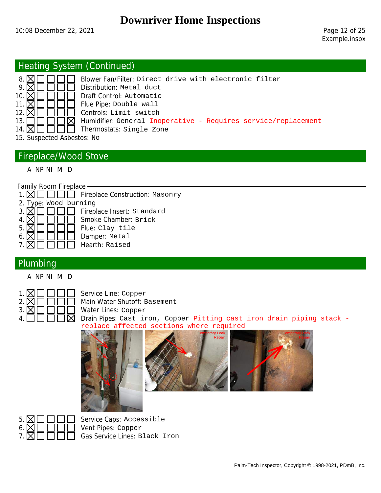## Heating System (Continued)



8.  $\boxtimes$   $\Box$   $\Box$  Blower Fan/Filter: Direct drive with electronic filter 9.  $\boxtimes$   $\Box$   $\Box$  Distribution: Metal duct  $9. \boxtimes \square \square \square$  Distribution: Metal duct 10.  $\boxtimes \square \square \square$  Draft Control: Automatic Draft Control: Automatic 11.  $\boxtimes \square \square \square$  Flue Pipe: Double wall 12.  $\boxtimes \square \square \square$  Controls: Limit switch  $13. \Box \Box \Box \Box \boxtimes$  Humidifier: General Inoperative - Requires service/replacement 14.  $\boxtimes \square \square \square$  Thermostats: Single Zone

15. Suspected Asbestos: No

## Fireplace/Wood Stove

A NP NI M D

Family Room Fireplace

|  |  |  |  |  |  | $1. \boxtimes \square \square \square$ Fireplace Construction: Masonry |  |
|--|--|--|--|--|--|------------------------------------------------------------------------|--|
|--|--|--|--|--|--|------------------------------------------------------------------------|--|

| 2. Type: Wood burning |                            |
|-----------------------|----------------------------|
| 3 I                   | Fireplace Insert: Standard |
|                       | Smoke Chamber: Brick       |
| 5 <sub>1</sub>        | Flue: Clay tile            |
|                       | Damper: Metal              |
| 7.1                   | Hearth: Raised             |
|                       |                            |

#### Plumbing

A NP NI M D

| 2. | X   |  |  |  |
|----|-----|--|--|--|
| 3. | (X) |  |  |  |
| 4  |     |  |  |  |

Service Line: Copper Main Water Shutoff: Basement Water Lines: Copper Drain Pipes: Cast iron, Copper Pitting cast iron drain piping stack replace affected sections where required





Service Caps: Accessible Gas Service Lines: Black Iron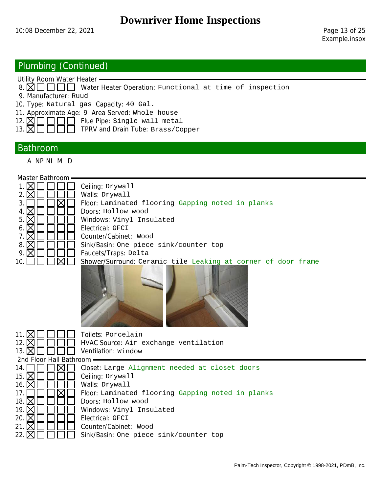## Plumbing (Continued)

Utility Room Water Heater

- 8.  $\boxtimes$   $\Box$   $\Box$  Water Heater Operation: Functional at time of inspection
- 9. Manufacturer: Ruud
- 10. Type: Natural gas Capacity: 40 Gal.
- 11. Approximate Age: 9 Area Served: Whole house
- $12. \ \ \boxtimes \ \square \ \square \ \square$  Flue Pipe: Single wall metal
- 13.  $\overline{\boxtimes}$   $\overline{\square}$   $\overline{\square}$   $\overline{\square}$  TPRV and Drain Tube: Brass/Copper

#### Bathroom

A NP NI M D

| Master Bathroom     |                                                               |
|---------------------|---------------------------------------------------------------|
|                     | Ceiling: Drywall                                              |
|                     | Walls: Drywall                                                |
|                     | Floor: Laminated flooring Gapping noted in planks             |
| 4.                  | Doors: Hollow wood                                            |
| 5.                  | Windows: Vinyl Insulated                                      |
| 6.                  | Electrical: GFCI                                              |
|                     | Counter/Cabinet: Wood                                         |
| 8. $\triangleright$ | Sink/Basin: One piece sink/counter top                        |
| 9. $\triangleright$ | Faucets/Traps: Delta                                          |
|                     | Shower/Surround: Ceramic tile Leaking at corner of door frame |
|                     |                                                               |



| 11.<br>12. $\triangleright$<br>13.1 | Toilets: Porcelain<br>HVAC Source: Air exchange ventilation<br>Ventilation: Window |
|-------------------------------------|------------------------------------------------------------------------------------|
| 2nd Floor Hall Bathroom             |                                                                                    |
| 14.                                 | Closet: Large Alignment needed at closet doors                                     |
| 15. $\triangleright$                | Ceiling: Drywall                                                                   |
| 16.1                                | Walls: Drywall                                                                     |
| 17.                                 | Floor Laminated flooring Gapping noted in planks                                   |
| 18.                                 | Doors: Hollow wood                                                                 |
| 19. $\triangleright$                | Windows: Vinyl Insulated                                                           |
| 20.                                 | Electrical: GFCI                                                                   |
| 21.1                                | Counter/Cabinet: Wood                                                              |
| 22.                                 | Sink/Basin: One piece sink/counter top                                             |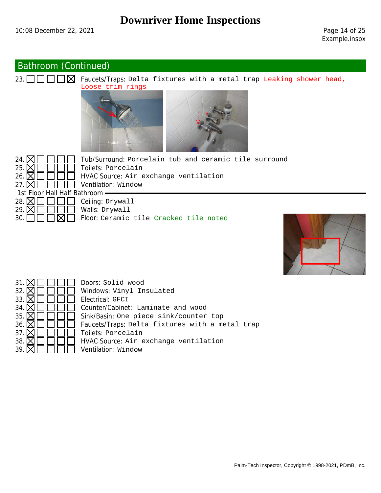## Bathroom (Continued)



23.  $\Box$  $\Box$  $\Box$  $\Box$  $\Box$  $\Box$  $\Box$  Faucets/Traps: Delta fixtures with a metal trap Leaking shower head, Loose trim rings





24.  $\boxtimes$   $\boxed{\square}$   $\boxed{\square}$  Tub/Surround: Porcelain tub and ceramic tile surround 25.  $\boxtimes$   $\square$   $\square$   $\square$  Toilets: Porcelain Toilets: Porcelain 26.  $\mathbb{N}$   $\Box$   $\Box$  HVAC Source: Air exchange ventilation





Sink/Basin: One piece sink/counter top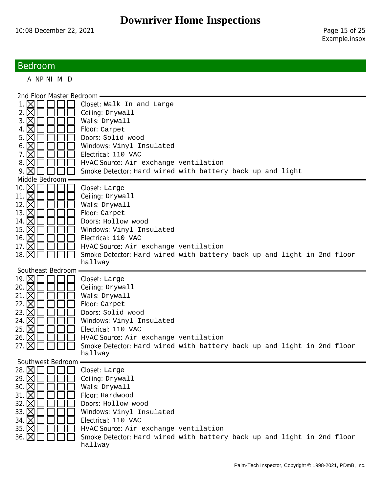## Bedroom

A NP NI M D

| 2nd Floor Master Bedroom -                            |                                                                                   |
|-------------------------------------------------------|-----------------------------------------------------------------------------------|
| 1. $\bowtie$                                          | Closet: Walk In and Large                                                         |
| 2. $\boxtimes$                                        | Ceiling: Drywall                                                                  |
| 3. $\boxtimes$                                        | Walls: Drywall                                                                    |
| 4. $\times$                                           | Floor: Carpet                                                                     |
| $5.\boxtimes$                                         | Doors: Solid wood                                                                 |
| 6. $\boxtimes$                                        | Windows: Vinyl Insulated                                                          |
| 7. $\boxtimes$                                        | Electrical: 110 VAC                                                               |
| 8. $\times$                                           | HVAC Source: Air exchange ventilation                                             |
| 9. $\bowtie$                                          | Smoke Detector: Hard wired with battery back up and light                         |
| Middle Bedroom                                        |                                                                                   |
| 10. $\boxtimes$                                       | Closet: Large                                                                     |
| 11. $\boxtimes$                                       | Ceiling: Drywall                                                                  |
| 12. M                                                 | Walls: Drywall                                                                    |
| 13. <b>×</b>                                          | Floor: Carpet                                                                     |
| 14. $\boxtimes$                                       | Doors: Hollow wood                                                                |
| 15. <b>×</b>                                          | Windows: Vinyl Insulated                                                          |
| 16. <b>×</b>                                          | Electrical: 110 VAC                                                               |
| 17. $\boxtimes$                                       | HVAC Source: Air exchange ventilation                                             |
|                                                       | Smoke Detector: Hard wired with battery back up and light in 2nd floor            |
|                                                       | hallway                                                                           |
| Southeast Bedroom                                     |                                                                                   |
|                                                       |                                                                                   |
|                                                       | Closet: Large                                                                     |
|                                                       | Ceiling: Drywall                                                                  |
| 19. M<br>20. $\times$<br>21. $\times$                 | Walls: Drywall                                                                    |
| 22. $\times$                                          | Floor: Carpet                                                                     |
|                                                       | Doors: Solid wood                                                                 |
| 23. $\boxtimes$<br>24. $\boxtimes$                    | Windows: Vinyl Insulated                                                          |
| 25. $\times$                                          | Electrical: 110 VAC                                                               |
| 26. $\boxtimes$                                       | HVAC Source: Air exchange ventilation                                             |
|                                                       | Smoke Detector: Hard wired with battery back up and light in 2nd floor            |
|                                                       | hallway                                                                           |
| Southwest Bedroom                                     |                                                                                   |
| 28. ⊠□□□                                              | Closet: Large                                                                     |
| 29. $\times$                                          | Ceiling: Drywall                                                                  |
| 30. $\boxtimes$                                       | Walls: Drywall                                                                    |
| 31. $\boxtimes$                                       | Floor: Hardwood                                                                   |
| 32. $\times$                                          | Doors: Hollow wood                                                                |
|                                                       | Windows: Vinyl Insulated                                                          |
|                                                       | Electrical: 110 VAC                                                               |
| 33. $\boxtimes$<br>34. $\boxtimes$<br>35. $\boxtimes$ | HVAC Source: Air exchange ventilation                                             |
| 36. $\boxtimes$                                       | Smoke Detector: Hard wired with battery back up and light in 2nd floor<br>hallway |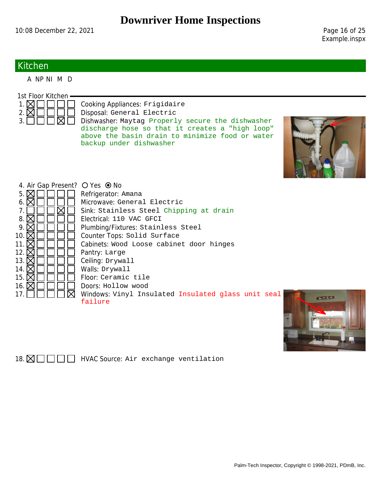Example.inspx

## Kitchen

A NP NI M D

| 1st Floor Kitchen              |                                                                            |                   |
|--------------------------------|----------------------------------------------------------------------------|-------------------|
| $2.\boxtimes$                  | Cooking Appliances: Frigidaire<br>Disposal: General Electric               |                   |
| 3.                             | Dishwasher: Maytag Properly secure the dishwasher                          |                   |
|                                | discharge hose so that it creates a "high loop"                            |                   |
|                                | above the basin drain to minimize food or water<br>backup under dishwasher |                   |
|                                |                                                                            |                   |
|                                |                                                                            |                   |
|                                |                                                                            |                   |
|                                |                                                                            |                   |
| 4. Air Gap Present? O Yes ● No |                                                                            |                   |
| $5. \boxtimes$                 | Refrigerator: Amana                                                        |                   |
| 6.                             | Microwave: General Electric                                                |                   |
|                                | Sink: Stainless Steel Chipping at drain                                    |                   |
| 8.                             | Electrical: 110 VAC GFCI                                                   |                   |
| 9.                             | Plumbing/Fixtures: Stainless Steel                                         |                   |
| 10. $\nabla$                   | Counter Tops: Solid Surface                                                |                   |
| 11. $\mathsf{X}$               | Cabinets: Wood Loose cabinet door hinges                                   |                   |
| 12. $\triangleright$           | Pantry: Large                                                              |                   |
| 13. $\nabla$                   | Ceiling: Drywall                                                           |                   |
| 14. $\mathsf{\overline{X}}$    | Walls: Drywall                                                             |                   |
| 15. $\mathsf{X}$               | Floor: Ceramic tile                                                        |                   |
| 16. $\boxtimes$                | Doors: Hollow wood                                                         |                   |
| 17.                            | Windows: Vinyl Insulated Insulated glass unit seal                         |                   |
|                                | failure                                                                    | <b>BEATTENING</b> |



18.  $\boxtimes \square \square \square$  HVAC Source: Air exchange ventilation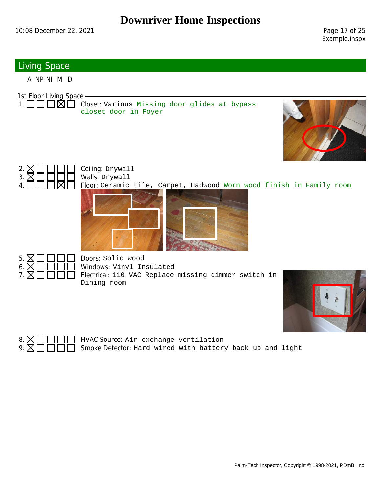Example.inspx

## Living Space

A NP NI M D

1st Floor Living Space

 $1. \Box \Box \Box \boxtimes \Box$  Closet: Various Missing door glides at bypass closet door in Foyer





Floor: Ceramic tile, Carpet, Hadwood Worn wood finish in Family room





 $5. \boxtimes \square \square \square$  Doors: Solid wood Windows: Vinyl Insulated Electrical: 110 VAC Replace missing dimmer switch in Dining room





8.  $\boxtimes$   $\Box$   $\Box$   $\Box$  HVAC Source: Air exchange ventilation<br>9.  $\boxtimes$   $\Box$   $\Box$   $\Box$  Smoke Detector: Hard wired with battery 9. Smoke Detector: Hard wired with battery back up and light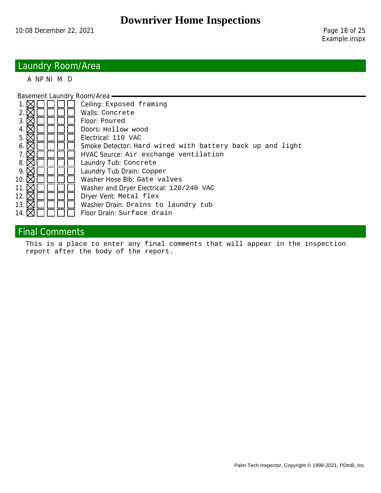## Laundry Room/Area

A NP NI M D

Basement Laundry Room/Area

| Ceiling: Exposed framing                                  |
|-----------------------------------------------------------|
| Walls: Concrete                                           |
| Floor: Poured                                             |
| Doors: Hollow wood                                        |
| Electrical: 110 VAC                                       |
| Smoke Detector: Hard wired with battery back up and light |
| HVAC Source: Air exchange ventilation                     |
| Laundry Tub: Concrete                                     |
| Laundry Tub Drain: Copper                                 |
| Washer Hose Bib: Gate valves                              |
| Washer and Dryer Electrical: 120/240 VAC                  |
| Dryer Vent: Metal flex                                    |
| Washer Drain: Drains to laundry tub                       |
| Floor Drain: Surface drain                                |
|                                                           |

## Final Comments

This is a place to enter any final comments that will appear in the inspection report after the body of the report.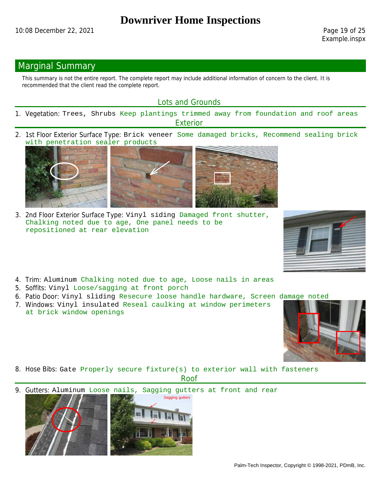#### Marginal Summary

This summary is not the entire report. The complete report may include additional information of concern to the client. It is recommended that the client read the complete report.

#### Lots and Grounds

- 1. Vegetation: Trees, Shrubs Keep plantings trimmed away from foundation and roof areas **Exterior**
- 2. 1st Floor Exterior Surface Type: Brick veneer Some damaged bricks, Recommend sealing brick with penetration sealer products



3. 2nd Floor Exterior Surface Type: Vinyl siding Damaged front shutter, Chalking noted due to age, One panel needs to be repositioned at rear elevation



- 4. Trim: Aluminum Chalking noted due to age, Loose nails in areas
- 5. Soffits: Vinyl Loose/sagging at front porch
- 6. Patio Door: Vinyl sliding Resecure loose handle hardware, Screen damage noted
- 7. Windows: Vinyl insulated Reseal caulking at window perimeters at brick window openings





8. Hose Bibs: Gate Properly secure fixture(s) to exterior wall with fasteners Roof

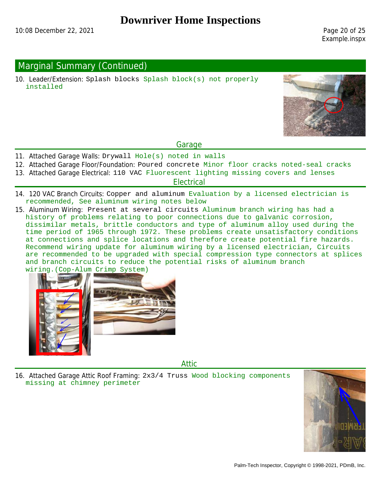Example.inspx

## Marginal Summary (Continued)

10. Leader/Extension: Splash blocks Splash block(s) not properly installed



#### Garage

- 11. Attached Garage Walls: Drywall Hole(s) noted in walls
- 12. Attached Garage Floor/Foundation: Poured concrete Minor floor cracks noted-seal cracks
- 13. Attached Garage Electrical: 110 VAC Fluorescent lighting missing covers and lenses

#### **Electrical**

- 14. 120 VAC Branch Circuits: Copper and aluminum Evaluation by a licensed electrician is recommended, See aluminum wiring notes below
- 15. Aluminum Wiring: Present at several circuits Aluminum branch wiring has had a history of problems relating to poor connections due to galvanic corrosion, dissimilar metals, brittle conductors and type of aluminum alloy used during the time period of 1965 through 1972. These problems create unsatisfactory conditions at connections and splice locations and therefore create potential fire hazards. Recommend wiring update for aluminum wiring by a licensed electrician, Circuits are recommended to be upgraded with special compression type connectors at splices and branch circuits to reduce the potential risks of aluminum branch wiring.(Cop-Alum Crimp System)



Attic

16. Attached Garage Attic Roof Framing: 2x3/4 Truss Wood blocking components missing at chimney perimeter

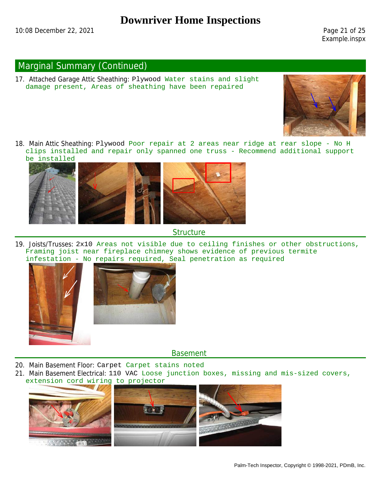Example.inspx

## Marginal Summary (Continued)

17. Attached Garage Attic Sheathing: Plywood Water stains and slight damage present, Areas of sheathing have been repaired



18. Main Attic Sheathing: Plywood Poor repair at 2 areas near ridge at rear slope - No H clips installed and repair only spanned one truss - Recommend additional support be installed



#### **Structure**

19. Joists/Trusses: 2x10 Areas not visible due to ceiling finishes or other obstructions, Framing joist near fireplace chimney shows evidence of previous termite infestation - No repairs required, Seal penetration as required



Basement

- 20. Main Basement Floor: Carpet Carpet stains noted
- 21. Main Basement Electrical: 110 VAC Loose junction boxes, missing and mis-sized covers, extension cord wiring to projector

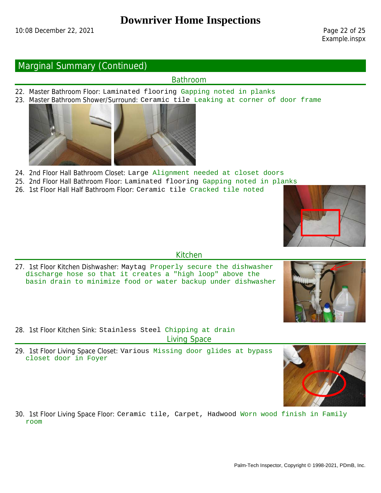#### Marginal Summary (Continued)

#### Bathroom

- 22. Master Bathroom Floor: Laminated flooring Gapping noted in planks
- 23. Master Bathroom Shower/Surround: Ceramic tile Leaking at corner of door frame



- 24. 2nd Floor Hall Bathroom Closet: Large Alignment needed at closet doors
- 25. 2nd Floor Hall Bathroom Floor: Laminated flooring Gapping noted in planks
- 26. 1st Floor Hall Half Bathroom Floor: Ceramic tile Cracked tile noted



#### Kitchen

27. 1st Floor Kitchen Dishwasher: Maytag Properly secure the dishwasher discharge hose so that it creates a "high loop" above the basin drain to minimize food or water backup under dishwasher



28. 1st Floor Kitchen Sink: Stainless Steel Chipping at drain Living Space

29. 1st Floor Living Space Closet: Various Missing door glides at bypass closet door in Foyer



30. 1st Floor Living Space Floor: Ceramic tile, Carpet, Hadwood Worn wood finish in Family room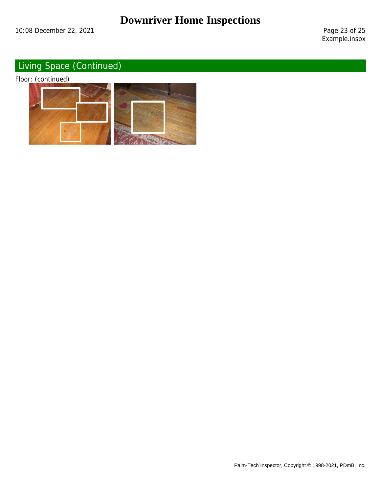Example.inspx

# Living Space (Continued)

Floor: (continued)

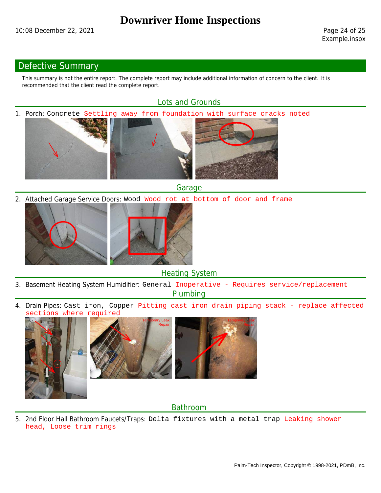## Defective Summary

This summary is not the entire report. The complete report may include additional information of concern to the client. It is recommended that the client read the complete report.

#### Lots and Grounds

1. Porch: Concrete Settling away from foundation with surface cracks noted







Garage

2. Attached Garage Service Doors: Wood Wood rot at bottom of door and frame



Heating System

- 3. Basement Heating System Humidifier: General Inoperative Requires service/replacement Plumbing
- 4. Drain Pipes: Cast iron, Copper Pitting cast iron drain piping stack replace affected tions where required







#### Bathroom

5. 2nd Floor Hall Bathroom Faucets/Traps: Delta fixtures with a metal trap Leaking shower head, Loose trim rings